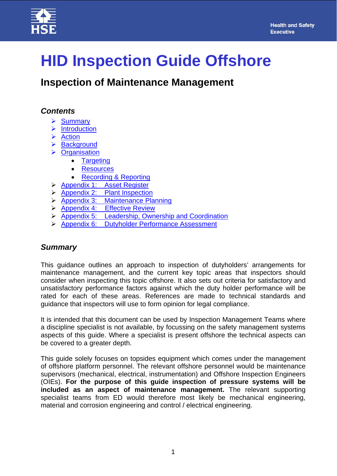



# **HID Inspection Guide Offshore**

**Inspection of Maintenance Management** 

## *Contents*

- $\triangleright$  [Summary](#page-0-0)
- $\triangleright$  [Introduction](#page-1-0)
- $\triangleright$  Action
- > Background
- **▶ [Organisation](#page-6-0)** 
	- [Targeting](#page-6-1)
	- [Resources](#page-7-0)
	- [Recording & Reporting](#page-7-1)
- [Appendix 1: Asset Register](#page-8-0)
- $\triangleright$  [Appendix 2: Plant Inspection](#page-10-0)
- [Appendix 3: Maintenance Planning](#page-12-0)
- > [Appendix 4: Effective Review](#page-18-0)
- $\triangleright$  [Appendix 5: Leadership, Ownership and Coordination](#page-21-0)
- [Appendix 6: Dutyholder Performance Assessment](#page-23-0)

## <span id="page-0-0"></span>*Summary*

This guidance outlines an approach to inspection of dutyholders' arrangements for maintenance management, and the current key topic areas that inspectors should consider when inspecting this topic offshore. It also sets out criteria for satisfactory and unsatisfactory performance factors against which the duty holder performance will be rated for each of these areas. References are made to technical standards and guidance that inspectors will use to form opinion for legal compliance.

It is intended that this document can be used by Inspection Management Teams where a discipline specialist is not available, by focussing on the safety management systems aspects of this guide. Where a specialist is present offshore the technical aspects can be covered to a greater depth.

This guide solely focuses on topsides equipment which comes under the management of offshore platform personnel. The relevant offshore personnel would be maintenance supervisors (mechanical, electrical, instrumentation) and Offshore Inspection Engineers (OIEs). **For the purpose of this guide inspection of pressure systems will be included as an aspect of maintenance management.** The relevant supporting specialist teams from ED would therefore most likely be mechanical engineering, material and corrosion engineering and control / electrical engineering.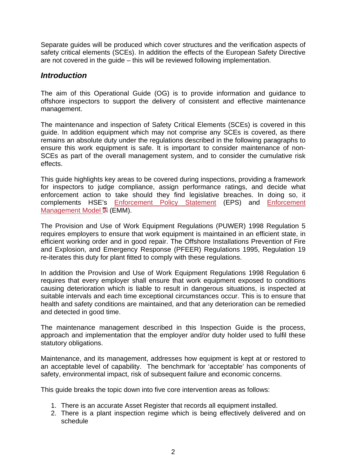Separate guides will be produced which cover structures and the verification aspects of safety critical elements (SCEs). In addition the effects of the European Safety Directive are not covered in the guide – this will be reviewed following implementation.

## <span id="page-1-0"></span>*Introduction*

The aim of this Operational Guide (OG) is to provide information and guidance to offshore inspectors to support the delivery of consistent and effective maintenance management.

The maintenance and inspection of Safety Critical Elements (SCEs) is covered in this guide. In addition equipment which may not comprise any SCEs is covered, as there remains an absolute duty under the regulations described in the following paragraphs to ensure this work equipment is safe. It is important to consider maintenance of non-SCEs as part of the overall management system, and to consider the cumulative risk effects.

This guide highlights key areas to be covered during inspections, providing a framework for inspectors to judge compliance, assign performance ratings, and decide what enforcement action to take should they find legislative breaches. In doing so, it complements HSE's [Enforcement Policy Statement](http://www.hse.gov.uk/enforce/enforcepolicy.htm) (EPS) and [Enforcement](http://www.hse.gov.uk/enforce/emm.pdf)  Management Model **L** (EMM).

The Provision and Use of Work Equipment Regulations (PUWER) 1998 Regulation 5 requires employers to ensure that work equipment is maintained in an efficient state, in efficient working order and in good repair. The Offshore Installations Prevention of Fire and Explosion, and Emergency Response (PFEER) Regulations 1995, Regulation 19 re-iterates this duty for plant fitted to comply with these regulations.

In addition the Provision and Use of Work Equipment Regulations 1998 Regulation 6 requires that every employer shall ensure that work equipment exposed to conditions causing deterioration which is liable to result in dangerous situations, is inspected at suitable intervals and each time exceptional circumstances occur. This is to ensure that health and safety conditions are maintained, and that any deterioration can be remedied and detected in good time.

The maintenance management described in this Inspection Guide is the process, approach and implementation that the employer and/or duty holder used to fulfil these statutory obligations.

Maintenance, and its management, addresses how equipment is kept at or restored to an acceptable level of capability. The benchmark for 'acceptable' has components of safety, environmental impact, risk of subsequent failure and economic concerns.

This guide breaks the topic down into five core intervention areas as follows:

- 1. There is an accurate Asset Register that records all equipment installed.
- 2. There is a plant inspection regime which is being effectively delivered and on schedule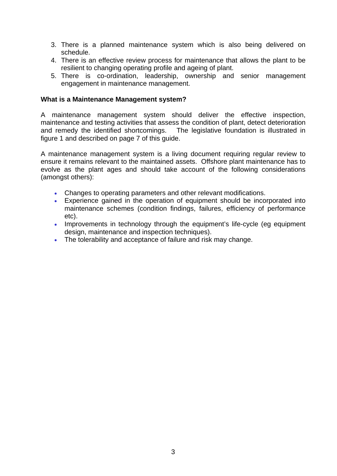- 3. There is a planned maintenance system which is also being delivered on schedule.
- 4. There is an effective review process for maintenance that allows the plant to be resilient to changing operating profile and ageing of plant.
- 5. There is co-ordination, leadership, ownership and senior management engagement in maintenance management.

#### **What is a Maintenance Management system?**

A maintenance management system should deliver the effective inspection, maintenance and testing activities that assess the condition of plant, detect deterioration and remedy the identified shortcomings. The legislative foundation is illustrated in figure 1 and described on page 7 of this guide.

A maintenance management system is a living document requiring regular review to ensure it remains relevant to the maintained assets. Offshore plant maintenance has to evolve as the plant ages and should take account of the following considerations (amongst others):

- Changes to operating parameters and other relevant modifications.
- Experience gained in the operation of equipment should be incorporated into maintenance schemes (condition findings, failures, efficiency of performance etc).
- Improvements in technology through the equipment's life-cycle (eg equipment design, maintenance and inspection techniques).
- The tolerability and acceptance of failure and risk may change.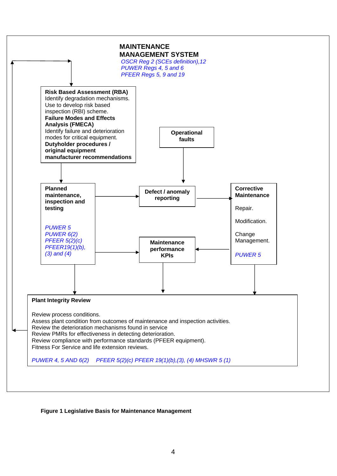

#### **Figure 1 Legislative Basis for Maintenance Management**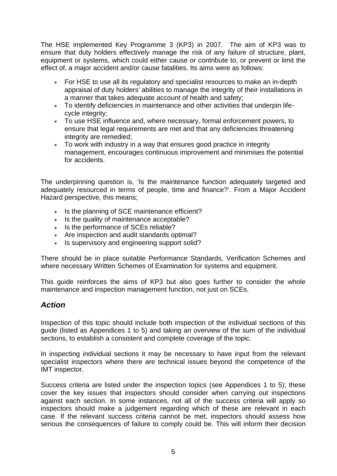The HSE implemented Key Programme 3 (KP3) in 2007. The aim of KP3 was to ensure that duty holders effectively manage the risk of any failure of structure, plant, equipment or systems, which could either cause or contribute to, or prevent or limit the effect of, a major accident and/or cause fatalities. Its aims were as follows:

- For HSE to use all its regulatory and specialist resources to make an in-depth appraisal of duty holders' abilities to manage the integrity of their installations in a manner that takes adequate account of health and safety;
- To identify deficiencies in maintenance and other activities that underpin lifecycle integrity;
- To use HSE influence and, where necessary, formal enforcement powers, to ensure that legal requirements are met and that any deficiencies threatening integrity are remedied;
- To work with industry in a way that ensures good practice in integrity management, encourages continuous improvement and minimises the potential for accidents.

The underpinning question is, 'Is the maintenance function adequately targeted and adequately resourced in terms of people, time and finance?'. From a Major Accident Hazard perspective, this means;

- Is the planning of SCE maintenance efficient?
- Is the quality of maintenance acceptable?
- Is the performance of SCEs reliable?
- Are inspection and audit standards optimal?
- Is supervisory and engineering support solid?

There should be in place suitable Performance Standards, Verification Schemes and where necessary Written Schemes of Examination for systems and equipment.

This guide reinforces the aims of KP3 but also goes further to consider the whole maintenance and inspection management function, not just on SCEs.

## <span id="page-4-0"></span>*Action*

Inspection of this topic should include both inspection of the individual sections of this guide (listed as Appendices 1 to 5) and taking an overview of the sum of the individual sections, to establish a consistent and complete coverage of the topic.

In inspecting individual sections it may be necessary to have input from the relevant specialist inspectors where there are technical issues beyond the competence of the IMT inspector.

Success criteria are listed under the inspection topics (see Appendices 1 to 5); these cover the key issues that inspectors should consider when carrying out inspections against each section. In some instances, not all of the success criteria will apply so inspectors should make a judgement regarding which of these are relevant in each case. If the relevant success criteria cannot be met, inspectors should assess how serious the consequences of failure to comply could be. This will inform their decision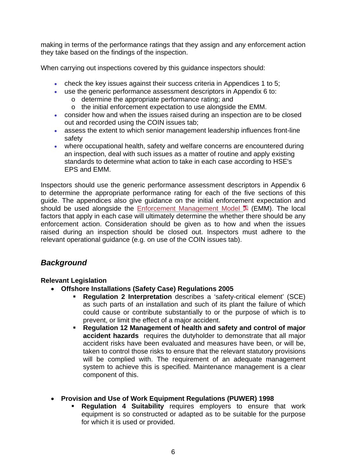making in terms of the performance ratings that they assign and any enforcement action they take based on the findings of the inspection.

When carrying out inspections covered by this guidance inspectors should:

- check the key issues against their success criteria in Appendices 1 to 5;
- use the generic performance assessment descriptors in Appendix 6 to:
	- o determine the appropriate performance rating; and
	- o the initial enforcement expectation to use alongside the EMM.
- consider how and when the issues raised during an inspection are to be closed out and recorded using the COIN issues tab;
- assess the extent to which senior management leadership influences front-line safety
- where occupational health, safety and welfare concerns are encountered during an inspection, deal with such issues as a matter of routine and apply existing standards to determine what action to take in each case according to HSE's EPS and EMM.

Inspectors should use the generic performance assessment descriptors in Appendix 6 to determine the appropriate performance rating for each of the five sections of this guide. The appendices also give guidance on the initial enforcement expectation and should be used alongside the [Enforcement Management Model](http://www.hse.gov.uk/enforce/emm.pdf)  $\blacksquare$  (EMM). The local factors that apply in each case will ultimately determine the whether there should be any enforcement action. Consideration should be given as to how and when the issues raised during an inspection should be closed out. Inspectors must adhere to the relevant operational guidance (e.g. on use of the COIN issues tab).

## <span id="page-5-0"></span>*Background*

#### **Relevant Legislation**

- **Offshore Installations (Safety Case) Regulations 2005** 
	- **Regulation 2 Interpretation** describes a 'safety-critical element' (SCE) as such parts of an installation and such of its plant the failure of which could cause or contribute substantially to or the purpose of which is to prevent, or limit the effect of a major accident.
	- **Regulation 12 Management of health and safety and control of major accident hazards** requires the dutyholder to demonstrate that all major accident risks have been evaluated and measures have been, or will be, taken to control those risks to ensure that the relevant statutory provisions will be complied with. The requirement of an adequate management system to achieve this is specified. Maintenance management is a clear component of this.

#### **Provision and Use of Work Equipment Regulations (PUWER) 1998**

 **Regulation 4 Suitability** requires employers to ensure that work equipment is so constructed or adapted as to be suitable for the purpose for which it is used or provided.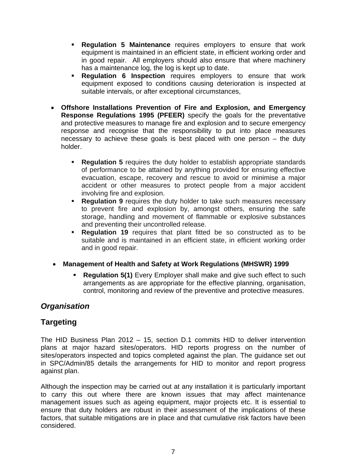- **Regulation 5 Maintenance** requires employers to ensure that work equipment is maintained in an efficient state, in efficient working order and in good repair. All employers should also ensure that where machinery has a maintenance log, the log is kept up to date.
- **Regulation 6 Inspection** requires employers to ensure that work equipment exposed to conditions causing deterioration is inspected at suitable intervals, or after exceptional circumstances,
- **Offshore Installations Prevention of Fire and Explosion, and Emergency Response Regulations 1995 (PFEER)** specify the goals for the preventative and protective measures to manage fire and explosion and to secure emergency response and recognise that the responsibility to put into place measures necessary to achieve these goals is best placed with one person – the duty holder.
	- **Regulation 5** requires the duty holder to establish appropriate standards of performance to be attained by anything provided for ensuring effective evacuation, escape, recovery and rescue to avoid or minimise a major accident or other measures to protect people from a major accident involving fire and explosion.
	- **Regulation 9** requires the duty holder to take such measures necessary to prevent fire and explosion by, amongst others, ensuring the safe storage, handling and movement of flammable or explosive substances and preventing their uncontrolled release.
	- **Regulation 19** requires that plant fitted be so constructed as to be suitable and is maintained in an efficient state, in efficient working order and in good repair.
- **Management of Health and Safety at Work Regulations (MHSWR) 1999** 
	- **Regulation 5(1)** Every Employer shall make and give such effect to such arrangements as are appropriate for the effective planning, organisation, control, monitoring and review of the preventive and protective measures.

## <span id="page-6-0"></span>*Organisation*

## <span id="page-6-1"></span>**Targeting**

The HID Business Plan 2012 – 15, section D.1 commits HID to deliver intervention plans at major hazard sites/operators. HID reports progress on the number of sites/operators inspected and topics completed against the plan. The guidance set out in SPC/Admin/85 details the arrangements for HID to monitor and report progress against plan.

Although the inspection may be carried out at any installation it is particularly important to carry this out where there are known issues that may affect maintenance management issues such as ageing equipment, major projects etc. It is essential to ensure that duty holders are robust in their assessment of the implications of these factors, that suitable mitigations are in place and that cumulative risk factors have been considered.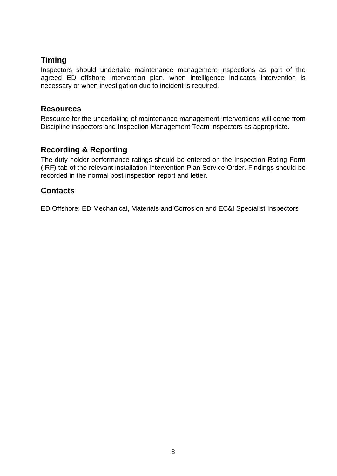## **Timing**

Inspectors should undertake maintenance management inspections as part of the agreed ED offshore intervention plan, when intelligence indicates intervention is necessary or when investigation due to incident is required.

## <span id="page-7-0"></span>**Resources**

Resource for the undertaking of maintenance management interventions will come from Discipline inspectors and Inspection Management Team inspectors as appropriate.

## <span id="page-7-1"></span>**Recording & Reporting**

The duty holder performance ratings should be entered on the Inspection Rating Form (IRF) tab of the relevant installation Intervention Plan Service Order. Findings should be recorded in the normal post inspection report and letter.

## **Contacts**

ED Offshore: ED Mechanical, Materials and Corrosion and EC&I Specialist Inspectors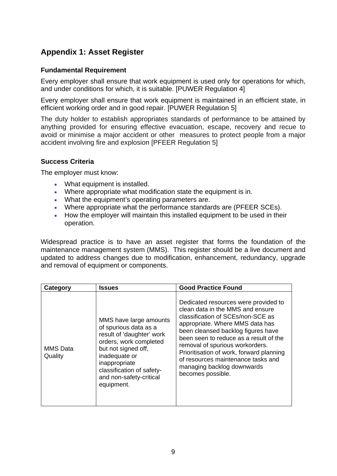## <span id="page-8-0"></span>**Appendix 1: Asset Register**

#### **Fundamental Requirement**

Every employer shall ensure that work equipment is used only for operations for which, and under conditions for which, it is suitable. [PUWER Regulation 4]

Every employer shall ensure that work equipment is maintained in an efficient state, in efficient working order and in good repair. [PUWER Regulation 5]

The duty holder to establish appropriates standards of performance to be attained by anything provided for ensuring effective evacuation, escape, recovery and recue to avoid or minimise a major accident or other measures to protect people from a major accident involving fire and explosion [PFEER Regulation 5]

#### **Success Criteria**

The employer must know:

- What equipment is installed.
- Where appropriate what modification state the equipment is in.
- . What the equipment's operating parameters are.
- Where appropriate what the performance standards are (PFEER SCEs).
- How the employer will maintain this installed equipment to be used in their operation.

Widespread practice is to have an asset register that forms the foundation of the maintenance management system (MMS). This register should be a live document and updated to address changes due to modification, enhancement, redundancy, upgrade and removal of equipment or components.

| Category                   | <b>Issues</b>                                                                                                                                                                                                                         | <b>Good Practice Found</b>                                                                                                                                                                                                                                                                                                                                                                               |  |  |
|----------------------------|---------------------------------------------------------------------------------------------------------------------------------------------------------------------------------------------------------------------------------------|----------------------------------------------------------------------------------------------------------------------------------------------------------------------------------------------------------------------------------------------------------------------------------------------------------------------------------------------------------------------------------------------------------|--|--|
| <b>MMS</b> Data<br>Quality | MMS have large amounts<br>of spurious data as a<br>result of 'daughter' work<br>orders, work completed<br>but not signed off,<br>inadequate or<br>inappropriate<br>classification of safety-<br>and non-safety-critical<br>equipment. | Dedicated resources were provided to<br>clean data in the MMS and ensure<br>classification of SCEs/non-SCE as<br>appropriate. Where MMS data has<br>been cleansed backlog figures have<br>been seen to reduce as a result of the<br>removal of spurious workorders.<br>Prioritisation of work, forward planning<br>of resources maintenance tasks and<br>managing backlog downwards<br>becomes possible. |  |  |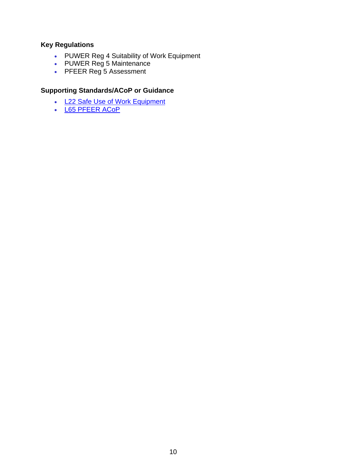## **Key Regulations**

- PUWER Reg 4 Suitability of Work Equipment
- PUWER Reg 5 Maintenance
- PFEER Reg 5 Assessment

#### **Supporting Standards/ACoP or Guidance**

- [L22 Safe Use of Work Equipment](http://www.hse.gov.uk/pubns/priced/l22.pdf)
- [L65 PFEER ACoP](http://www.hse.gov.uk/pubns/priced/l65.pdf)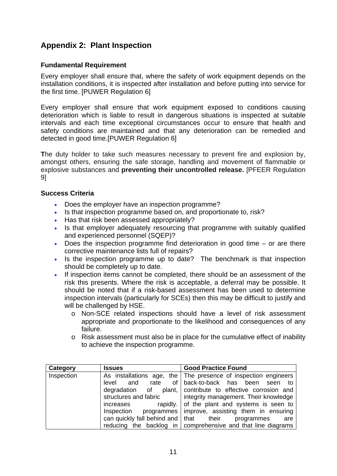## <span id="page-10-0"></span>**Appendix 2: Plant Inspection**

#### **Fundamental Requirement**

Every employer shall ensure that, where the safety of work equipment depends on the installation conditions, it is inspected after installation and before putting into service for the first time. [PUWER Regulation 6]

Every employer shall ensure that work equipment exposed to conditions causing deterioration which is liable to result in dangerous situations is inspected at suitable intervals and each time exceptional circumstances occur to ensure that health and safety conditions are maintained and that any deterioration can be remedied and detected in good time.[PUWER Regulation 6]

**T**he duty holder to take such measures necessary to prevent fire and explosion by, amongst others, ensuring the safe storage, handling and movement of flammable or explosive substances and **preventing their uncontrolled release.** [PFEER Regulation 9]

#### **Success Criteria**

- Does the employer have an inspection programme?
- Is that inspection programme based on, and proportionate to, risk?
- Has that risk been assessed appropriately?
- Is that employer adequately resourcing that programme with suitably qualified and experienced personnel (SQEP)?
- Does the inspection programme find deterioration in good time or are there corrective maintenance lists full of repairs?
- Is the inspection programme up to date? The benchmark is that inspection should be completely up to date.
- If inspection items cannot be completed, there should be an assessment of the risk this presents. Where the risk is acceptable, a deferral may be possible. It should be noted that if a risk-based assessment has been used to determine inspection intervals (particularly for SCEs) then this may be difficult to justify and will be challenged by HSE.
	- o Non-SCE related inspections should have a level of risk assessment appropriate and proportionate to the likelihood and consequences of any failure.
	- o Risk assessment must also be in place for the cumulative effect of inability to achieve the inspection programme.

| Category   | <b>Issues</b>                                                                                                                    | <b>Good Practice Found</b>                                     |  |  |  |  |
|------------|----------------------------------------------------------------------------------------------------------------------------------|----------------------------------------------------------------|--|--|--|--|
| Inspection | As installations age,                                                                                                            | the The presence of inspection engineers                       |  |  |  |  |
|            | rate<br>level<br>and                                                                                                             | of back-to-back has been seen<br>to to                         |  |  |  |  |
|            | degradation of plant, contribute to effective corrosion and                                                                      |                                                                |  |  |  |  |
|            | structures and fabric                                                                                                            | integrity management. Their knowledge                          |  |  |  |  |
|            | rapidly. $\vert$ of the plant and systems is seen to<br>increases<br>Inspection programmes   improve, assisting them in ensuring |                                                                |  |  |  |  |
|            |                                                                                                                                  |                                                                |  |  |  |  |
|            | can quickly fall behind and $\vert$ that their                                                                                   | programmes<br>are                                              |  |  |  |  |
|            |                                                                                                                                  | reducing the backlog in   comprehensive and that line diagrams |  |  |  |  |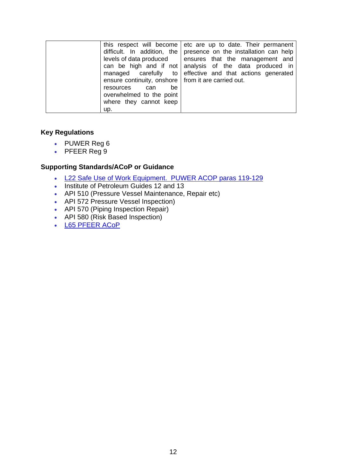| ensure continuity, onshore   from it are carried out.<br>be<br>resources can<br>overwhelmed to the point | this respect will become etc are up to date. Their permanent<br>difficult. In addition, the presence on the installation can help<br>levels of data produced $\Box$ ensures that the management and<br>can be high and if not analysis of the data produced in<br>managed carefully to effective and that actions generated |
|----------------------------------------------------------------------------------------------------------|-----------------------------------------------------------------------------------------------------------------------------------------------------------------------------------------------------------------------------------------------------------------------------------------------------------------------------|
| where they cannot keep<br>up.                                                                            |                                                                                                                                                                                                                                                                                                                             |

#### **Key Regulations**

- PUWER Reg 6
- PFEER Reg 9

#### **Supporting Standards/ACoP or Guidance**

- [L22 Safe Use of Work Equipment. PUWER ACOP paras 119-129](http://www.hse.gov.uk/pubns/priced/l22.pdf)
- Institute of Petroleum Guides 12 and 13
- API 510 (Pressure Vessel Maintenance, Repair etc)
- API 572 Pressure Vessel Inspection)
- API 570 (Piping Inspection Repair)
- API 580 (Risk Based Inspection)
- [L65 PFEER ACoP](http://www.hse.gov.uk/pubns/priced/l65.pdf)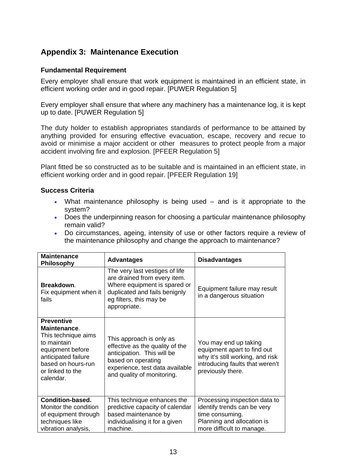## <span id="page-12-0"></span>**Appendix 3: Maintenance Execution**

#### **Fundamental Requirement**

Every employer shall ensure that work equipment is maintained in an efficient state, in efficient working order and in good repair. [PUWER Regulation 5]

Every employer shall ensure that where any machinery has a maintenance log, it is kept up to date. [PUWER Regulation 5]

The duty holder to establish appropriates standards of performance to be attained by anything provided for ensuring effective evacuation, escape, recovery and recue to avoid or minimise a major accident or other measures to protect people from a major accident involving fire and explosion. [PFEER Regulation 5]

Plant fitted be so constructed as to be suitable and is maintained in an efficient state, in efficient working order and in good repair. [PFEER Regulation 19]

#### **Success Criteria**

- What maintenance philosophy is being used and is it appropriate to the system?
- Does the underpinning reason for choosing a particular maintenance philosophy remain valid?
- Do circumstances, ageing, intensity of use or other factors require a review of the maintenance philosophy and change the approach to maintenance?

| <b>Maintenance</b><br>Philosophy                                                                                                                                          | <b>Advantages</b>                                                                                                                                                                | <b>Disadvantages</b>                                                                                                                             |
|---------------------------------------------------------------------------------------------------------------------------------------------------------------------------|----------------------------------------------------------------------------------------------------------------------------------------------------------------------------------|--------------------------------------------------------------------------------------------------------------------------------------------------|
| Breakdown.<br>Fix equipment when it<br>fails                                                                                                                              | The very last vestiges of life<br>are drained from every item.<br>Where equipment is spared or<br>duplicated and fails benignly<br>eg filters, this may be<br>appropriate.       | Equipment failure may result<br>in a dangerous situation                                                                                         |
| <b>Preventive</b><br>Maintenance.<br>This technique aims<br>to maintain<br>equipment before<br>anticipated failure<br>based on hours-run<br>or linked to the<br>calendar. | This approach is only as<br>effective as the quality of the<br>anticipation. This will be<br>based on operating<br>experience, test data available<br>and quality of monitoring. | You may end up taking<br>equipment apart to find out<br>why it's still working, and risk<br>introducing faults that weren't<br>previously there. |
| <b>Condition-based.</b><br>Monitor the condition<br>of equipment through<br>techniques like<br>vibration analysis,                                                        | This technique enhances the<br>predictive capacity of calendar<br>based maintenance by<br>individualising it for a given<br>machine.                                             | Processing inspection data to<br>identify trends can be very<br>time consuming.<br>Planning and allocation is<br>more difficult to manage.       |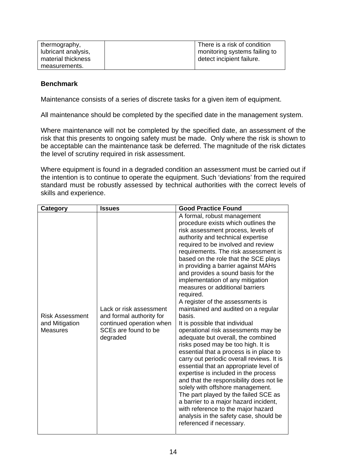| thermography,       | There is a risk of condition  |
|---------------------|-------------------------------|
| lubricant analysis, | monitoring systems failing to |
| material thickness  | detect incipient failure.     |
| measurements.       |                               |

#### **Benchmark**

Maintenance consists of a series of discrete tasks for a given item of equipment.

All maintenance should be completed by the specified date in the management system.

Where maintenance will not be completed by the specified date, an assessment of the risk that this presents to ongoing safety must be made. Only where the risk is shown to be acceptable can the maintenance task be deferred. The magnitude of the risk dictates the level of scrutiny required in risk assessment.

Where equipment is found in a degraded condition an assessment must be carried out if the intention is to continue to operate the equipment. Such 'deviations' from the required standard must be robustly assessed by technical authorities with the correct levels of skills and experience.

| Category<br><b>Issues</b>                                   |                                                                                                                     | <b>Good Practice Found</b>                                                                                                                                                                                                                                                                                                                                                                                                                                                                                                                                                                                                                                                                                                                                                                                                                                                                                                                                                                                                                                                                                                            |  |
|-------------------------------------------------------------|---------------------------------------------------------------------------------------------------------------------|---------------------------------------------------------------------------------------------------------------------------------------------------------------------------------------------------------------------------------------------------------------------------------------------------------------------------------------------------------------------------------------------------------------------------------------------------------------------------------------------------------------------------------------------------------------------------------------------------------------------------------------------------------------------------------------------------------------------------------------------------------------------------------------------------------------------------------------------------------------------------------------------------------------------------------------------------------------------------------------------------------------------------------------------------------------------------------------------------------------------------------------|--|
| <b>Risk Assessment</b><br>and Mitigation<br><b>Measures</b> | Lack or risk assessment<br>and formal authority for<br>continued operation when<br>SCEs are found to be<br>degraded | A formal, robust management<br>procedure exists which outlines the<br>risk assessment process, levels of<br>authority and technical expertise<br>required to be involved and review<br>requirements. The risk assessment is<br>based on the role that the SCE plays<br>in providing a barrier against MAHs<br>and provides a sound basis for the<br>implementation of any mitigation<br>measures or additional barriers<br>required.<br>A register of the assessments is<br>maintained and audited on a regular<br>basis.<br>It is possible that individual<br>operational risk assessments may be<br>adequate but overall, the combined<br>risks posed may be too high. It is<br>essential that a process is in place to<br>carry out periodic overall reviews. It is<br>essential that an appropriate level of<br>expertise is included in the process<br>and that the responsibility does not lie<br>solely with offshore management.<br>The part played by the failed SCE as<br>a barrier to a major hazard incident,<br>with reference to the major hazard<br>analysis in the safety case, should be<br>referenced if necessary. |  |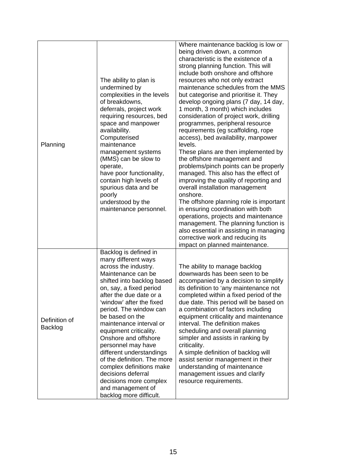| Planning                 | The ability to plan is<br>undermined by<br>complexities in the levels<br>of breakdowns,<br>deferrals, project work<br>requiring resources, bed<br>space and manpower<br>availability.<br>Computerised<br>maintenance<br>management systems<br>(MMS) can be slow to<br>operate,<br>have poor functionality,<br>contain high levels of<br>spurious data and be<br>poorly<br>understood by the<br>maintenance personnel.                                                                                                                             | Where maintenance backlog is low or<br>being driven down, a common<br>characteristic is the existence of a<br>strong planning function. This will<br>include both onshore and offshore<br>resources who not only extract<br>maintenance schedules from the MMS<br>but categorise and prioritise it. They<br>develop ongoing plans (7 day, 14 day,<br>1 month, 3 month) which includes<br>consideration of project work, drilling<br>programmes, peripheral resource<br>requirements (eg scaffolding, rope<br>access), bed availability, manpower<br>levels.<br>These plans are then implemented by<br>the offshore management and<br>problems/pinch points can be properly<br>managed. This also has the effect of<br>improving the quality of reporting and<br>overall installation management<br>onshore.<br>The offshore planning role is important<br>in ensuring coordination with both<br>operations, projects and maintenance<br>management. The planning function is<br>also essential in assisting in managing<br>corrective work and reducing its<br>impact on planned maintenance. |
|--------------------------|---------------------------------------------------------------------------------------------------------------------------------------------------------------------------------------------------------------------------------------------------------------------------------------------------------------------------------------------------------------------------------------------------------------------------------------------------------------------------------------------------------------------------------------------------|-----------------------------------------------------------------------------------------------------------------------------------------------------------------------------------------------------------------------------------------------------------------------------------------------------------------------------------------------------------------------------------------------------------------------------------------------------------------------------------------------------------------------------------------------------------------------------------------------------------------------------------------------------------------------------------------------------------------------------------------------------------------------------------------------------------------------------------------------------------------------------------------------------------------------------------------------------------------------------------------------------------------------------------------------------------------------------------------------|
| Definition of<br>Backlog | Backlog is defined in<br>many different ways<br>across the industry.<br>Maintenance can be<br>shifted into backlog based<br>on, say, a fixed period<br>after the due date or a<br>'window' after the fixed<br>period. The window can<br>be based on the<br>maintenance interval or<br>equipment criticality.<br>Onshore and offshore<br>personnel may have<br>different understandings<br>of the definition. The more<br>complex definitions make<br>decisions deferral<br>decisions more complex<br>and management of<br>backlog more difficult. | The ability to manage backlog<br>downwards has been seen to be<br>accompanied by a decision to simplify<br>its definition to 'any maintenance not<br>completed within a fixed period of the<br>due date. This period will be based on<br>a combination of factors including<br>equipment criticality and maintenance<br>interval. The definition makes<br>scheduling and overall planning<br>simpler and assists in ranking by<br>criticality.<br>A simple definition of backlog will<br>assist senior management in their<br>understanding of maintenance<br>management issues and clarify<br>resource requirements.                                                                                                                                                                                                                                                                                                                                                                                                                                                                         |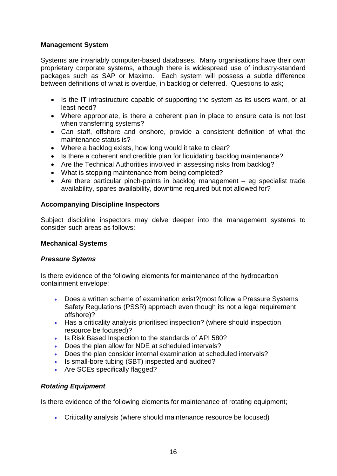#### **Management System**

Systems are invariably computer-based databases. Many organisations have their own proprietary corporate systems, although there is widespread use of industry-standard packages such as SAP or Maximo. Each system will possess a subtle difference between definitions of what is overdue, in backlog or deferred. Questions to ask;

- Is the IT infrastructure capable of supporting the system as its users want, or at least need?
- Where appropriate, is there a coherent plan in place to ensure data is not lost when transferring systems?
- Can staff, offshore and onshore, provide a consistent definition of what the maintenance status is?
- Where a backlog exists, how long would it take to clear?
- Is there a coherent and credible plan for liquidating backlog maintenance?
- Are the Technical Authorities involved in assessing risks from backlog?
- What is stopping maintenance from being completed?
- Are there particular pinch-points in backlog management eg specialist trade availability, spares availability, downtime required but not allowed for?

#### **Accompanying Discipline Inspectors**

Subject discipline inspectors may delve deeper into the management systems to consider such areas as follows:

#### **Mechanical Systems**

#### *Pressure Sytems*

Is there evidence of the following elements for maintenance of the hydrocarbon containment envelope:

- Does a written scheme of examination exist?(most follow a Pressure Systems Safety Regulations (PSSR) approach even though its not a legal requirement offshore)?
- Has a criticality analysis prioritised inspection? (where should inspection resource be focused)?
- Is Risk Based Inspection to the standards of API 580?
- Does the plan allow for NDE at scheduled intervals?
- Does the plan consider internal examination at scheduled intervals?
- Is small-bore tubing (SBT) inspected and audited?
- Are SCEs specifically flagged?

#### *Rotating Equipment*

Is there evidence of the following elements for maintenance of rotating equipment;

Criticality analysis (where should maintenance resource be focused)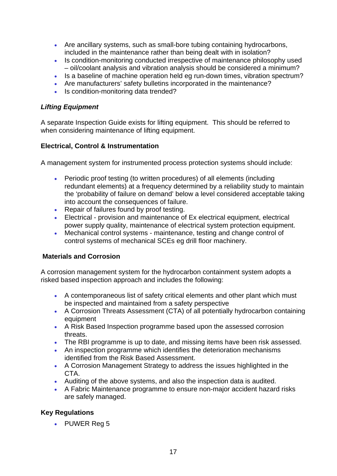- Are ancillary systems, such as small-bore tubing containing hydrocarbons, included in the maintenance rather than being dealt with in isolation?
- Is condition-monitoring conducted irrespective of maintenance philosophy used – oil/coolant analysis and vibration analysis should be considered a minimum?
- Is a baseline of machine operation held eg run-down times, vibration spectrum?
- Are manufacturers' safety bulletins incorporated in the maintenance?
- Is condition-monitoring data trended?

#### *Lifting Equipment*

A separate Inspection Guide exists for lifting equipment. This should be referred to when considering maintenance of lifting equipment.

#### **Electrical, Control & Instrumentation**

A management system for instrumented process protection systems should include:

- Periodic proof testing (to written procedures) of all elements (including redundant elements) at a frequency determined by a reliability study to maintain the 'probability of failure on demand' below a level considered acceptable taking into account the consequences of failure.
- Repair of failures found by proof testing.
- Electrical provision and maintenance of Ex electrical equipment, electrical power supply quality, maintenance of electrical system protection equipment.
- Mechanical control systems maintenance, testing and change control of control systems of mechanical SCEs eg drill floor machinery.

#### **Materials and Corrosion**

A corrosion management system for the hydrocarbon containment system adopts a risked based inspection approach and includes the following:

- A contemporaneous list of safety critical elements and other plant which must be inspected and maintained from a safety perspective
- A Corrosion Threats Assessment (CTA) of all potentially hydrocarbon containing equipment
- A Risk Based Inspection programme based upon the assessed corrosion threats.
- The RBI programme is up to date, and missing items have been risk assessed.
- An inspection programme which identifies the deterioration mechanisms identified from the Risk Based Assessment.
- A Corrosion Management Strategy to address the issues highlighted in the CTA.
- Auditing of the above systems, and also the inspection data is audited.
- A Fabric Maintenance programme to ensure non-major accident hazard risks are safely managed.

#### **Key Regulations**

• PUWER Reg 5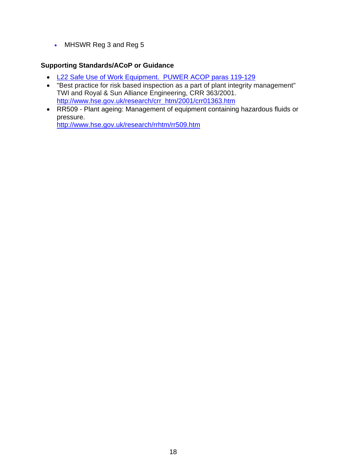• MHSWR Reg 3 and Reg 5

#### **Supporting Standards/ACoP or Guidance**

- [L22 Safe Use of Work Equipment. PUWER ACOP paras 119-129](http://www.hse.gov.uk/pubns/priced/l22.pdf)
- "Best practice for risk based inspection as a part of plant integrity management" TWI and Royal & Sun Alliance Engineering, CRR 363/2001. [http://www.hse.gov.uk/research/crr\\_htm/2001/crr01363.htm](http://www.hse.gov.uk/research/crr_htm/2001/crr01363.htm)
- RR509 Plant ageing: Management of equipment containing hazardous fluids or pressure.

<http://www.hse.gov.uk/research/rrhtm/rr509.htm>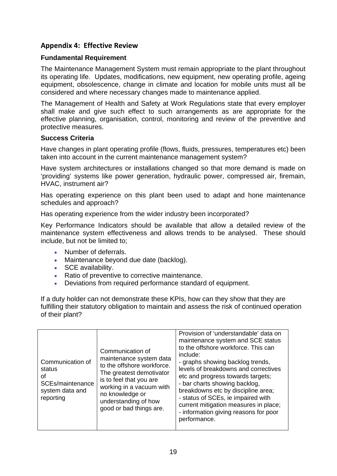## <span id="page-18-0"></span>**Appendix 4: Effective Review**

#### **Fundamental Requirement**

The Maintenance Management System must remain appropriate to the plant throughout its operating life. Updates, modifications, new equipment, new operating profile, ageing equipment, obsolescence, change in climate and location for mobile units must all be considered and where necessary changes made to maintenance applied.

The Management of Health and Safety at Work Regulations state that every employer shall make and give such effect to such arrangements as are appropriate for the effective planning, organisation, control, monitoring and review of the preventive and protective measures.

#### **Success Criteria**

Have changes in plant operating profile (flows, fluids, pressures, temperatures etc) been taken into account in the current maintenance management system?

Have system architectures or installations changed so that more demand is made on 'providing' systems like power generation, hydraulic power, compressed air, firemain, HVAC, instrument air?

Has operating experience on this plant been used to adapt and hone maintenance schedules and approach?

Has operating experience from the wider industry been incorporated?

Key Performance Indicators should be available that allow a detailed review of the maintenance system effectiveness and allows trends to be analysed. These should include, but not be limited to;

- Number of deferrals.
- Maintenance beyond due date (backlog).
- SCE availability.
- Ratio of preventive to corrective maintenance.
- Deviations from required performance standard of equipment.

If a duty holder can not demonstrate these KPIs, how can they show that they are fulfilling their statutory obligation to maintain and assess the risk of continued operation of their plant?

| Communication of<br>status<br>οf<br>SCEs/maintenance<br>system data and<br>reporting | Communication of<br>maintenance system data<br>to the offshore workforce.<br>The greatest demotivator<br>is to feel that you are<br>working in a vacuum with<br>no knowledge or<br>understanding of how<br>good or bad things are. | Provision of 'understandable' data on<br>maintenance system and SCE status<br>to the offshore workforce. This can<br>include:<br>- graphs showing backlog trends,<br>levels of breakdowns and correctives<br>etc and progress towards targets;<br>- bar charts showing backlog,<br>breakdowns etc by discipline area;<br>- status of SCEs, ie impaired with<br>current mitigation measures in place;<br>- information giving reasons for poor<br>performance. |
|--------------------------------------------------------------------------------------|------------------------------------------------------------------------------------------------------------------------------------------------------------------------------------------------------------------------------------|---------------------------------------------------------------------------------------------------------------------------------------------------------------------------------------------------------------------------------------------------------------------------------------------------------------------------------------------------------------------------------------------------------------------------------------------------------------|
|--------------------------------------------------------------------------------------|------------------------------------------------------------------------------------------------------------------------------------------------------------------------------------------------------------------------------------|---------------------------------------------------------------------------------------------------------------------------------------------------------------------------------------------------------------------------------------------------------------------------------------------------------------------------------------------------------------------------------------------------------------------------------------------------------------|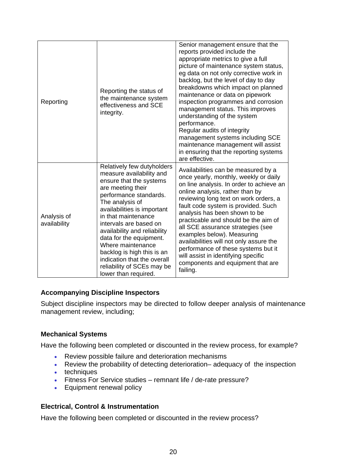| Reporting                   | Reporting the status of<br>the maintenance system<br>effectiveness and SCE<br>integrity.                                                                                                                                                                                                                                                                                                                                               | Senior management ensure that the<br>reports provided include the<br>appropriate metrics to give a full<br>picture of maintenance system status,<br>eg data on not only corrective work in<br>backlog, but the level of day to day<br>breakdowns which impact on planned<br>maintenance or data on pipework<br>inspection programmes and corrosion<br>management status. This improves<br>understanding of the system<br>performance.<br>Regular audits of integrity<br>management systems including SCE<br>maintenance management will assist<br>in ensuring that the reporting systems<br>are effective. |
|-----------------------------|----------------------------------------------------------------------------------------------------------------------------------------------------------------------------------------------------------------------------------------------------------------------------------------------------------------------------------------------------------------------------------------------------------------------------------------|------------------------------------------------------------------------------------------------------------------------------------------------------------------------------------------------------------------------------------------------------------------------------------------------------------------------------------------------------------------------------------------------------------------------------------------------------------------------------------------------------------------------------------------------------------------------------------------------------------|
| Analysis of<br>availability | Relatively few dutyholders<br>measure availability and<br>ensure that the systems<br>are meeting their<br>performance standards.<br>The analysis of<br>availabilities is important<br>in that maintenance<br>intervals are based on<br>availability and reliability<br>data for the equipment.<br>Where maintenance<br>backlog is high this is an<br>indication that the overall<br>reliability of SCEs may be<br>lower than required. | Availabilities can be measured by a<br>once yearly, monthly, weekly or daily<br>on line analysis. In order to achieve an<br>online analysis, rather than by<br>reviewing long text on work orders, a<br>fault code system is provided. Such<br>analysis has been shown to be<br>practicable and should be the aim of<br>all SCE assurance strategies (see<br>examples below). Measuring<br>availabilities will not only assure the<br>performance of these systems but it<br>will assist in identifying specific<br>components and equipment that are<br>failing.                                          |

#### **Accompanying Discipline Inspectors**

Subject discipline inspectors may be directed to follow deeper analysis of maintenance management review, including;

#### **Mechanical Systems**

Have the following been completed or discounted in the review process, for example?

- Review possible failure and deterioration mechanisms
- Review the probability of detecting deterioration– adequacy of the inspection
- $\cdot$  techniques
- Fitness For Service studies remnant life / de-rate pressure?
- Equipment renewal policy

#### **Electrical, Control & Instrumentation**

Have the following been completed or discounted in the review process?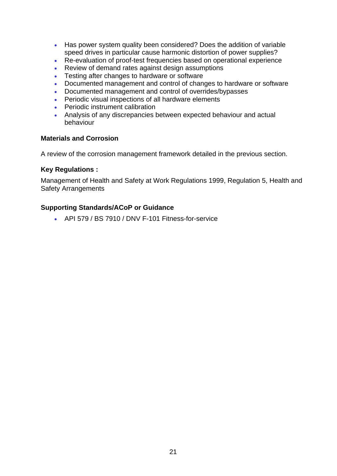- Has power system quality been considered? Does the addition of variable speed drives in particular cause harmonic distortion of power supplies?
- Re-evaluation of proof-test frequencies based on operational experience
- Review of demand rates against design assumptions
- Testing after changes to hardware or software
- Documented management and control of changes to hardware or software
- Documented management and control of overrides/bypasses
- Periodic visual inspections of all hardware elements
- Periodic instrument calibration
- Analysis of any discrepancies between expected behaviour and actual behaviour

#### **Materials and Corrosion**

A review of the corrosion management framework detailed in the previous section.

#### **Key Regulations :**

Management of Health and Safety at Work Regulations 1999, Regulation 5, Health and Safety Arrangements

#### **Supporting Standards/ACoP or Guidance**

API 579 / BS 7910 / DNV F-101 Fitness-for-service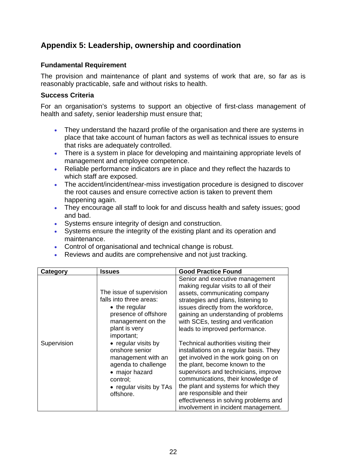## <span id="page-21-0"></span>**Appendix 5: Leadership, ownership and coordination**

### **Fundamental Requirement**

The provision and maintenance of plant and systems of work that are, so far as is reasonably practicable, safe and without risks to health.

#### **Success Criteria**

For an organisation's systems to support an objective of first-class management of health and safety, senior leadership must ensure that;

- They understand the hazard profile of the organisation and there are systems in place that take account of human factors as well as technical issues to ensure that risks are adequately controlled.
- There is a system in place for developing and maintaining appropriate levels of management and employee competence.
- Reliable performance indicators are in place and they reflect the hazards to which staff are exposed.
- The accident/incident/near-miss investigation procedure is designed to discover the root causes and ensure corrective action is taken to prevent them happening again.
- They encourage all staff to look for and discuss health and safety issues; good and bad.
- Systems ensure integrity of design and construction.
- Systems ensure the integrity of the existing plant and its operation and maintenance.
- Control of organisational and technical change is robust.
- Reviews and audits are comprehensive and not just tracking.

| Category    | <b>Issues</b>                                                                                                                                            | <b>Good Practice Found</b>                                                                                                                                                                                                                                                                                                                                                                  |
|-------------|----------------------------------------------------------------------------------------------------------------------------------------------------------|---------------------------------------------------------------------------------------------------------------------------------------------------------------------------------------------------------------------------------------------------------------------------------------------------------------------------------------------------------------------------------------------|
|             | The issue of supervision<br>falls into three areas:<br>$\bullet$ the regular<br>presence of offshore<br>management on the<br>plant is very<br>important; | Senior and executive management<br>making regular visits to all of their<br>assets, communicating company<br>strategies and plans, listening to<br>issues directly from the workforce,<br>gaining an understanding of problems<br>with SCEs, testing and verification<br>leads to improved performance.                                                                                     |
| Supervision | • regular visits by<br>onshore senior<br>management with an<br>agenda to challenge<br>• major hazard<br>control;<br>• regular visits by TAs<br>offshore. | Technical authorities visiting their<br>installations on a regular basis. They<br>get involved in the work going on on<br>the plant, become known to the<br>supervisors and technicians, improve<br>communications, their knowledge of<br>the plant and systems for which they<br>are responsible and their<br>effectiveness in solving problems and<br>involvement in incident management. |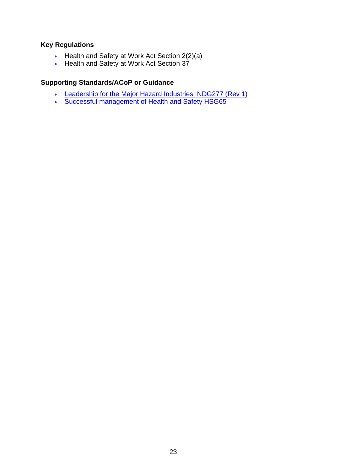### **Key Regulations**

- Health and Safety at Work Act Section  $2(2)(a)$
- Health and Safety at Work Act Section 37

#### **Supporting Standards/ACoP or Guidance**

- [Leadership for the Major Hazard Industries INDG277 \(Rev 1\)](http://www.hse.gov.uk/pubns/indg277.pdf)
- [Successful management of Health and Safety HSG65](http://www.hse.gov.uk/pubns/priced/hsg65.pdf)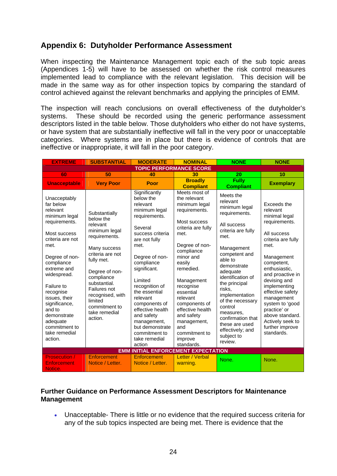## <span id="page-23-0"></span>**Appendix 6: Dutyholder Performance Assessment**

When inspecting the Maintenance Management topic each of the sub topic areas (Appendices 1-5) will have to be assessed on whether the risk control measures implemented lead to compliance with the relevant legislation. This decision will be made in the same way as for other inspection topics by comparing the standard of control achieved against the relevant benchmarks and applying the principles of EMM.

The inspection will reach conclusions on overall effectiveness of the dutyholder's systems. These should be recorded using the generic performance assessment descriptors listed in the table below. Those dutyholders who either do not have systems, or have system that are substantially ineffective will fall in the very poor or unacceptable categories. Where systems are in place but there is evidence of controls that are ineffective or inappropriate, it will fall in the poor category.

| <b>EXTREME</b>                                                                                                                                                                                                                                                                                                                   | <b>SUBSTANTIAL</b>                                                                                                                                                                                                                                                     | <b>MODERATE</b>                                                                                                                                                                                                                                                                                                                                                             | <b>NOMINAL</b>                                                                                                                                                                                                                                                                                                                                           | <b>NONE</b>                                                                                                                                                                                                                                                                                                                                                                 | <b>NONE</b>                                                                                                                                                                                                                                                                                                                                          |
|----------------------------------------------------------------------------------------------------------------------------------------------------------------------------------------------------------------------------------------------------------------------------------------------------------------------------------|------------------------------------------------------------------------------------------------------------------------------------------------------------------------------------------------------------------------------------------------------------------------|-----------------------------------------------------------------------------------------------------------------------------------------------------------------------------------------------------------------------------------------------------------------------------------------------------------------------------------------------------------------------------|----------------------------------------------------------------------------------------------------------------------------------------------------------------------------------------------------------------------------------------------------------------------------------------------------------------------------------------------------------|-----------------------------------------------------------------------------------------------------------------------------------------------------------------------------------------------------------------------------------------------------------------------------------------------------------------------------------------------------------------------------|------------------------------------------------------------------------------------------------------------------------------------------------------------------------------------------------------------------------------------------------------------------------------------------------------------------------------------------------------|
| <b>TOPIC PERFORMANCE SCORE</b>                                                                                                                                                                                                                                                                                                   |                                                                                                                                                                                                                                                                        |                                                                                                                                                                                                                                                                                                                                                                             |                                                                                                                                                                                                                                                                                                                                                          |                                                                                                                                                                                                                                                                                                                                                                             |                                                                                                                                                                                                                                                                                                                                                      |
| 60                                                                                                                                                                                                                                                                                                                               | 50                                                                                                                                                                                                                                                                     | 40                                                                                                                                                                                                                                                                                                                                                                          | 30                                                                                                                                                                                                                                                                                                                                                       | 20                                                                                                                                                                                                                                                                                                                                                                          | 10                                                                                                                                                                                                                                                                                                                                                   |
| <b>Unacceptable</b>                                                                                                                                                                                                                                                                                                              | <b>Very Poor</b>                                                                                                                                                                                                                                                       | Poor                                                                                                                                                                                                                                                                                                                                                                        | <b>Broadly</b><br><b>Compliant</b>                                                                                                                                                                                                                                                                                                                       | <b>Fully</b><br><b>Compliant</b>                                                                                                                                                                                                                                                                                                                                            | <b>Exemplary</b>                                                                                                                                                                                                                                                                                                                                     |
| Unacceptably<br>far below<br>relevant<br>minimum legal<br>requirements.<br>Most success<br>criteria are not<br>met.<br>Degree of non-<br>compliance<br>extreme and<br>widespread.<br>Failure to<br>recognise<br>issues, their<br>significance,<br>and to<br>demonstrate<br>adequate<br>commitment to<br>take remedial<br>action. | Substantially<br>below the<br>relevant<br>minimum legal<br>requirements.<br>Many success<br>criteria are not<br>fully met.<br>Degree of non-<br>compliance<br>substantial.<br>Failures not<br>recognised, with<br>limited<br>commitment to<br>take remedial<br>action. | Significantly<br>below the<br>relevant<br>minimum legal<br>requirements.<br>Several<br>success criteria<br>are not fully<br>met.<br>Degree of non-<br>compliance<br>significant.<br>Limited<br>recognition of<br>the essential<br>relevant<br>components of<br>effective health<br>and safety<br>management,<br>but demonstrate<br>commitment to<br>take remedial<br>action | Meets most of<br>the relevant<br>minimum legal<br>requirements.<br>Most success<br>criteria are fully<br>met.<br>Degree of non-<br>compliance<br>minor and<br>easily<br>remedied.<br>Management<br>recognise<br>essential<br>relevant<br>components of<br>effective health<br>and safety<br>management,<br>and<br>commitment to<br>improve<br>standards. | Meets the<br>relevant<br>minimum legal<br>requirements.<br>All success<br>criteria are fully<br>met.<br>Management<br>competent and<br>able to<br>demonstrate<br>adequate<br>identification of<br>the principal<br>risks,<br>implementation<br>of the necessary<br>control<br>measures,<br>confirmation that<br>these are used<br>effectively; and<br>subject to<br>review. | Exceeds the<br>relevant<br>minimal legal<br>requirements.<br>All success<br>criteria are fully<br>met.<br>Management<br>competent,<br>enthusiastic,<br>and proactive in<br>devising and<br>implementing<br>effective safety<br>management<br>system to 'good<br>practice' or<br>above standard.<br>Actively seek to<br>further improve<br>standards. |
| <b>EMM INITIAL ENFORCEMENT EXPECTATION</b>                                                                                                                                                                                                                                                                                       |                                                                                                                                                                                                                                                                        |                                                                                                                                                                                                                                                                                                                                                                             |                                                                                                                                                                                                                                                                                                                                                          |                                                                                                                                                                                                                                                                                                                                                                             |                                                                                                                                                                                                                                                                                                                                                      |
| <b>Prosecution /</b><br><b>Enforcement</b><br>Notice.                                                                                                                                                                                                                                                                            | Enforcement<br>Notice / Letter.                                                                                                                                                                                                                                        | <b>Enforcement</b><br>Notice / Letter.                                                                                                                                                                                                                                                                                                                                      | Letter / Verbal<br>warning.                                                                                                                                                                                                                                                                                                                              | None.                                                                                                                                                                                                                                                                                                                                                                       | None.                                                                                                                                                                                                                                                                                                                                                |

#### **Further Guidance on Performance Assessment Descriptors for Maintenance Management**

 Unacceptable- There is little or no evidence that the required success criteria for any of the sub topics inspected are being met. There is evidence that the